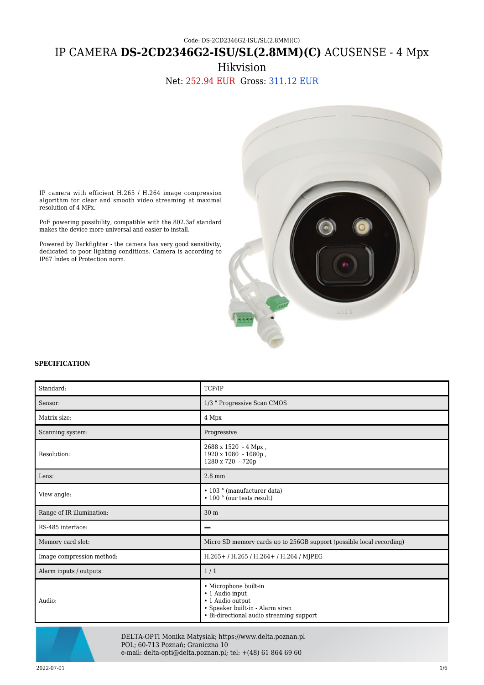## Code: DS-2CD2346G2-ISU/SL(2.8MM)(C)

# IP CAMERA **DS-2CD2346G2-ISU/SL(2.8MM)(C)** ACUSENSE - 4 Mpx

Hikvision

Net: 252.94 EUR Gross: 311.12 EUR



IP camera with efficient H.265 / H.264 image compression algorithm for clear and smooth video streaming at maximal resolution of 4 MPx.

PoE powering possibility, compatible with the 802.3af standard makes the device more universal and easier to install.

Powered by Darkfighter - the camera has very good sensitivity, dedicated to poor lighting conditions. Camera is according to IP67 Index of Protection norm.

#### **SPECIFICATION**

| Standard:                 | TCP/IP                                                                                                                                       |
|---------------------------|----------------------------------------------------------------------------------------------------------------------------------------------|
| Sensor:                   | 1/3 " Progressive Scan CMOS                                                                                                                  |
| Matrix size:              | 4 Mpx                                                                                                                                        |
| Scanning system:          | Progressive                                                                                                                                  |
| Resolution:               | 2688 x 1520 - 4 Mpx,<br>1920 x 1080 - 1080p,<br>1280 x 720 - 720p                                                                            |
| Lens:                     | $2.8 \text{ mm}$                                                                                                                             |
| View angle:               | • 103 ° (manufacturer data)<br>• 100 ° (our tests result)                                                                                    |
| Range of IR illumination: | 30 <sub>m</sub>                                                                                                                              |
| RS-485 interface:         |                                                                                                                                              |
| Memory card slot:         | Micro SD memory cards up to 256GB support (possible local recording)                                                                         |
| Image compression method: | H.265+/H.265/H.264+/H.264/MJPEG                                                                                                              |
| Alarm inputs / outputs:   | 1/1                                                                                                                                          |
| Audio:                    | • Microphone built-in<br>• 1 Audio input<br>• 1 Audio output<br>• Speaker built-in - Alarm siren<br>• Bi-directional audio streaming support |



DELTA-OPTI Monika Matysiak; https://www.delta.poznan.pl POL; 60-713 Poznań; Graniczna 10 e-mail: delta-opti@delta.poznan.pl; tel: +(48) 61 864 69 60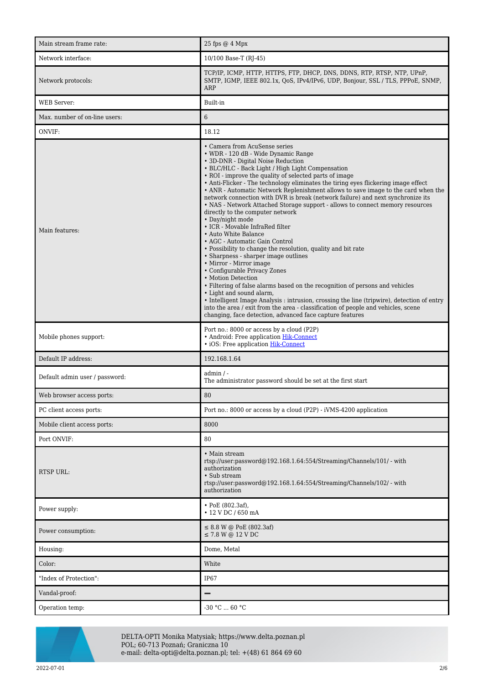| Main stream frame rate:        | 25 fps @ 4 Mpx                                                                                                                                                                                                                                                                                                                                                                                                                                                                                                                                                                                                                                                                                                                                                                                                                                                                                                                                                                                                                                                                                                                                                                                                                                                                   |
|--------------------------------|----------------------------------------------------------------------------------------------------------------------------------------------------------------------------------------------------------------------------------------------------------------------------------------------------------------------------------------------------------------------------------------------------------------------------------------------------------------------------------------------------------------------------------------------------------------------------------------------------------------------------------------------------------------------------------------------------------------------------------------------------------------------------------------------------------------------------------------------------------------------------------------------------------------------------------------------------------------------------------------------------------------------------------------------------------------------------------------------------------------------------------------------------------------------------------------------------------------------------------------------------------------------------------|
| Network interface:             | 10/100 Base-T (RJ-45)                                                                                                                                                                                                                                                                                                                                                                                                                                                                                                                                                                                                                                                                                                                                                                                                                                                                                                                                                                                                                                                                                                                                                                                                                                                            |
| Network protocols:             | TCP/IP, ICMP, HTTP, HTTPS, FTP, DHCP, DNS, DDNS, RTP, RTSP, NTP, UPnP,<br>SMTP, IGMP, IEEE 802.1x, QoS, IPv4/IPv6, UDP, Bonjour, SSL / TLS, PPPoE, SNMP,<br>ARP                                                                                                                                                                                                                                                                                                                                                                                                                                                                                                                                                                                                                                                                                                                                                                                                                                                                                                                                                                                                                                                                                                                  |
| <b>WEB</b> Server:             | Built-in                                                                                                                                                                                                                                                                                                                                                                                                                                                                                                                                                                                                                                                                                                                                                                                                                                                                                                                                                                                                                                                                                                                                                                                                                                                                         |
| Max. number of on-line users:  | 6                                                                                                                                                                                                                                                                                                                                                                                                                                                                                                                                                                                                                                                                                                                                                                                                                                                                                                                                                                                                                                                                                                                                                                                                                                                                                |
| ONVIF:                         | 18.12                                                                                                                                                                                                                                                                                                                                                                                                                                                                                                                                                                                                                                                                                                                                                                                                                                                                                                                                                                                                                                                                                                                                                                                                                                                                            |
| Main features:                 | • Camera from AcuSense series<br>• WDR - 120 dB - Wide Dynamic Range<br>• 3D-DNR - Digital Noise Reduction<br>• BLC/HLC - Back Light / High Light Compensation<br>• ROI - improve the quality of selected parts of image<br>• Anti-Flicker - The technology eliminates the tiring eyes flickering image effect<br>• ANR - Automatic Network Replenishment allows to save image to the card when the<br>network connection with DVR is break (network failure) and next synchronize its<br>• NAS - Network Attached Storage support - allows to connect memory resources<br>directly to the computer network<br>• Day/night mode<br>• ICR - Movable InfraRed filter<br>• Auto White Balance<br>• AGC - Automatic Gain Control<br>• Possibility to change the resolution, quality and bit rate<br>• Sharpness - sharper image outlines<br>• Mirror - Mirror image<br>• Configurable Privacy Zones<br>• Motion Detection<br>• Filtering of false alarms based on the recognition of persons and vehicles<br>• Light and sound alarm,<br>• Intelligent Image Analysis : intrusion, crossing the line (tripwire), detection of entry<br>into the area / exit from the area - classification of people and vehicles, scene<br>changing, face detection, advanced face capture features |
| Mobile phones support:         | Port no.: 8000 or access by a cloud (P2P)<br>• Android: Free application Hik-Connect<br>· iOS: Free application Hik-Connect                                                                                                                                                                                                                                                                                                                                                                                                                                                                                                                                                                                                                                                                                                                                                                                                                                                                                                                                                                                                                                                                                                                                                      |
| Default IP address:            | 192.168.1.64                                                                                                                                                                                                                                                                                                                                                                                                                                                                                                                                                                                                                                                                                                                                                                                                                                                                                                                                                                                                                                                                                                                                                                                                                                                                     |
| Default admin user / password: | admin / -<br>The administrator password should be set at the first start                                                                                                                                                                                                                                                                                                                                                                                                                                                                                                                                                                                                                                                                                                                                                                                                                                                                                                                                                                                                                                                                                                                                                                                                         |
| Web browser access ports:      | 80                                                                                                                                                                                                                                                                                                                                                                                                                                                                                                                                                                                                                                                                                                                                                                                                                                                                                                                                                                                                                                                                                                                                                                                                                                                                               |
| PC client access ports:        | Port no.: 8000 or access by a cloud (P2P) - iVMS-4200 application                                                                                                                                                                                                                                                                                                                                                                                                                                                                                                                                                                                                                                                                                                                                                                                                                                                                                                                                                                                                                                                                                                                                                                                                                |
| Mobile client access ports:    | 8000                                                                                                                                                                                                                                                                                                                                                                                                                                                                                                                                                                                                                                                                                                                                                                                                                                                                                                                                                                                                                                                                                                                                                                                                                                                                             |
| Port ONVIF:                    | 80                                                                                                                                                                                                                                                                                                                                                                                                                                                                                                                                                                                                                                                                                                                                                                                                                                                                                                                                                                                                                                                                                                                                                                                                                                                                               |
| <b>RTSP URL:</b>               | • Main stream<br>rtsp://user.password@192.168.1.64:554/Streaming/Channels/101/ - with<br>authorization<br>• Sub stream<br>rtsp://user.password@192.168.1.64:554/Streaming/Channels/102/ - with<br>authorization                                                                                                                                                                                                                                                                                                                                                                                                                                                                                                                                                                                                                                                                                                                                                                                                                                                                                                                                                                                                                                                                  |
| Power supply:                  | $\cdot$ PoE (802.3af),<br>• 12 V DC / 650 mA                                                                                                                                                                                                                                                                                                                                                                                                                                                                                                                                                                                                                                                                                                                                                                                                                                                                                                                                                                                                                                                                                                                                                                                                                                     |
| Power consumption:             | $\leq$ 8.8 W @ PoE (802.3af)<br>$\leq$ 7.8 W @ 12 V DC                                                                                                                                                                                                                                                                                                                                                                                                                                                                                                                                                                                                                                                                                                                                                                                                                                                                                                                                                                                                                                                                                                                                                                                                                           |
| Housing:                       | Dome, Metal                                                                                                                                                                                                                                                                                                                                                                                                                                                                                                                                                                                                                                                                                                                                                                                                                                                                                                                                                                                                                                                                                                                                                                                                                                                                      |
| Color:                         | White                                                                                                                                                                                                                                                                                                                                                                                                                                                                                                                                                                                                                                                                                                                                                                                                                                                                                                                                                                                                                                                                                                                                                                                                                                                                            |
| "Index of Protection":         | IP67                                                                                                                                                                                                                                                                                                                                                                                                                                                                                                                                                                                                                                                                                                                                                                                                                                                                                                                                                                                                                                                                                                                                                                                                                                                                             |
| Vandal-proof:                  | —                                                                                                                                                                                                                                                                                                                                                                                                                                                                                                                                                                                                                                                                                                                                                                                                                                                                                                                                                                                                                                                                                                                                                                                                                                                                                |
| Operation temp:                | -30 °C  60 °C                                                                                                                                                                                                                                                                                                                                                                                                                                                                                                                                                                                                                                                                                                                                                                                                                                                                                                                                                                                                                                                                                                                                                                                                                                                                    |



DELTA-OPTI Monika Matysiak; https://www.delta.poznan.pl POL; 60-713 Poznań; Graniczna 10 e-mail: delta-opti@delta.poznan.pl; tel: +(48) 61 864 69 60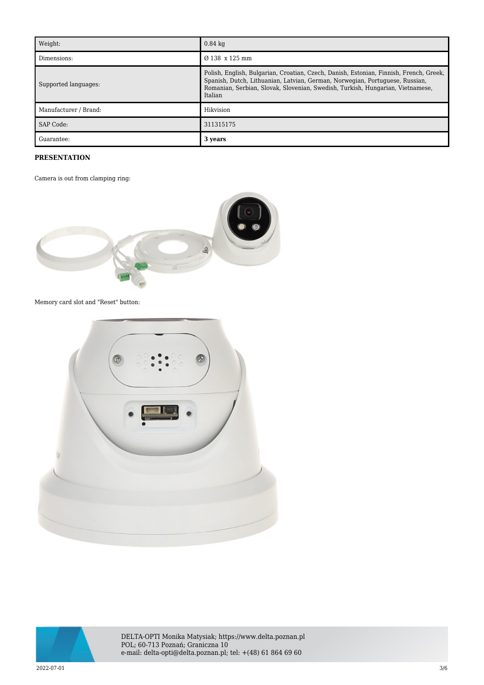| Weight:               | $0.84 \text{ kg}$                                                                                                                                                                                                                                                   |
|-----------------------|---------------------------------------------------------------------------------------------------------------------------------------------------------------------------------------------------------------------------------------------------------------------|
| Dimensions:           | $\varnothing$ 138 x 125 mm                                                                                                                                                                                                                                          |
| Supported languages:  | Polish, English, Bulgarian, Croatian, Czech, Danish, Estonian, Finnish, French, Greek,<br>Spanish, Dutch, Lithuanian, Latvian, German, Norwegian, Portuguese, Russian,<br>Romanian, Serbian, Slovak, Slovenian, Swedish, Turkish, Hungarian, Vietnamese,<br>Italian |
| Manufacturer / Brand: | Hikvision                                                                                                                                                                                                                                                           |
| SAP Code:             | 311315175                                                                                                                                                                                                                                                           |
| Guarantee:            | 3 years                                                                                                                                                                                                                                                             |

# **PRESENTATION**

Camera is out from clamping ring:



Memory card slot and "Reset" button:





DELTA-OPTI Monika Matysiak; https://www.delta.poznan.pl POL; 60-713 Poznań; Graniczna 10 e-mail: delta-opti@delta.poznan.pl; tel: +(48) 61 864 69 60

 $2022$ -07-01  $3/6$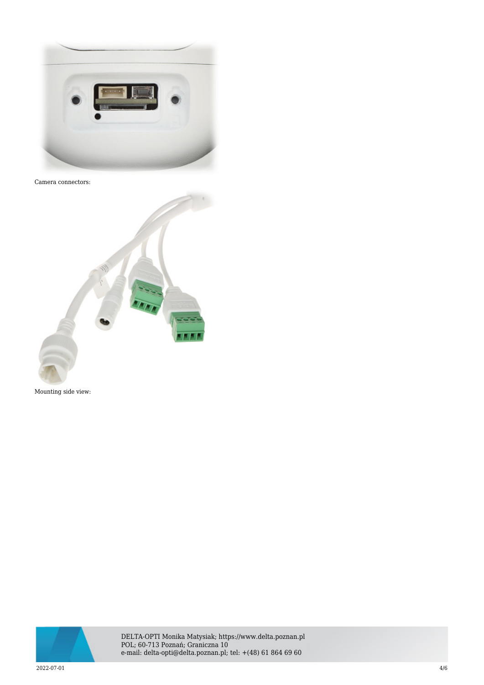

## Camera connectors:





DELTA-OPTI Monika Matysiak; https://www.delta.poznan.pl POL; 60-713 Poznań; Graniczna 10 e-mail: delta-opti@delta.poznan.pl; tel: +(48) 61 864 69 60

 $2022$ -07-01  $4/6$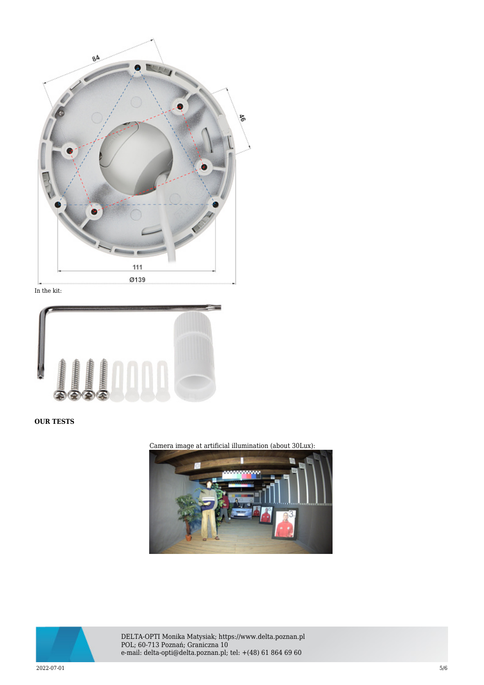

In the kit:



**OUR TESTS**

Camera image at artificial illumination (about 30Lux):





DELTA-OPTI Monika Matysiak; https://www.delta.poznan.pl POL; 60-713 Poznań; Graniczna 10 e-mail: delta-opti@delta.poznan.pl; tel: +(48) 61 864 69 60

 $2022$ -07-01  $5/6$